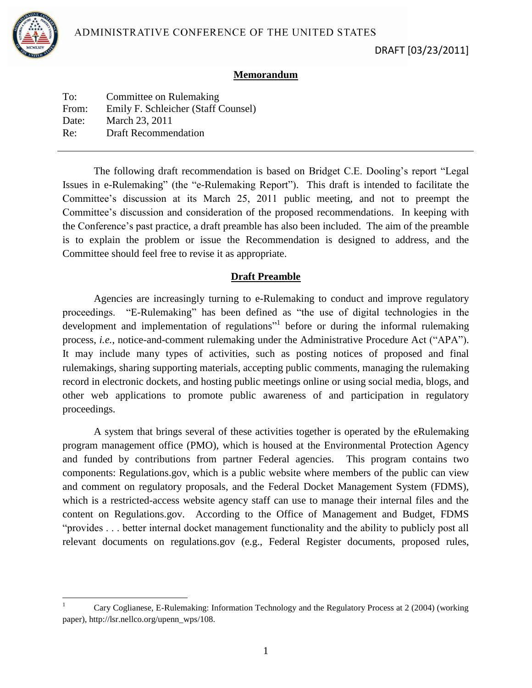

 $\overline{\phantom{a}}$ 

## **Memorandum**

| To:   | Committee on Rulemaking             |
|-------|-------------------------------------|
| From: | Emily F. Schleicher (Staff Counsel) |
| Date: | March 23, 2011                      |
| Re:   | <b>Draft Recommendation</b>         |
|       |                                     |

The following draft recommendation is based on Bridget C.E. Dooling's report "Legal Issues in e-Rulemaking" (the "e-Rulemaking Report"). This draft is intended to facilitate the Committee's discussion at its March 25, 2011 public meeting, and not to preempt the Committee's discussion and consideration of the proposed recommendations. In keeping with the Conference's past practice, a draft preamble has also been included. The aim of the preamble is to explain the problem or issue the Recommendation is designed to address, and the Committee should feel free to revise it as appropriate.

## **Draft Preamble**

Agencies are increasingly turning to e-Rulemaking to conduct and improve regulatory proceedings. "E-Rulemaking" has been defined as "the use of digital technologies in the development and implementation of regulations<sup>"1</sup> before or during the informal rulemaking process, *i.e.*, notice-and-comment rulemaking under the Administrative Procedure Act ("APA"). It may include many types of activities, such as posting notices of proposed and final rulemakings, sharing supporting materials, accepting public comments, managing the rulemaking record in electronic dockets, and hosting public meetings online or using social media, blogs, and other web applications to promote public awareness of and participation in regulatory proceedings.

A system that brings several of these activities together is operated by the eRulemaking program management office (PMO), which is housed at the Environmental Protection Agency and funded by contributions from partner Federal agencies. This program contains two components: Regulations.gov, which is a public website where members of the public can view and comment on regulatory proposals, and the Federal Docket Management System (FDMS), which is a restricted-access website agency staff can use to manage their internal files and the content on Regulations.gov. According to the Office of Management and Budget, FDMS "provides . . . better internal docket management functionality and the ability to publicly post all relevant documents on regulations.gov (e.g., Federal Register documents, proposed rules,

<sup>1</sup> Cary Coglianese, E-Rulemaking: Information Technology and the Regulatory Process at 2 (2004) (working paper), http://lsr.nellco.org/upenn\_wps/108.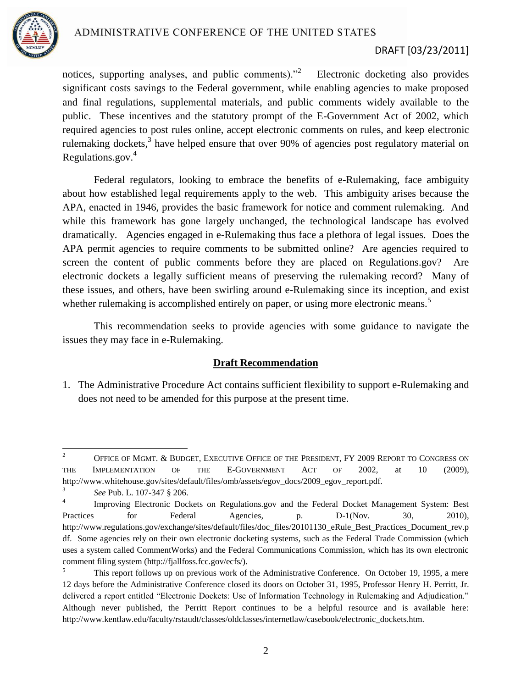

## DRAFT [03/23/2011]

notices, supporting analyses, and public comments)."<sup>2</sup> Electronic docketing also provides significant costs savings to the Federal government, while enabling agencies to make proposed and final regulations, supplemental materials, and public comments widely available to the public. These incentives and the statutory prompt of the E-Government Act of 2002, which required agencies to post rules online, accept electronic comments on rules, and keep electronic rulemaking dockets,<sup>3</sup> have helped ensure that over 90% of agencies post regulatory material on Regulations.gov. $4$ 

Federal regulators, looking to embrace the benefits of e-Rulemaking, face ambiguity about how established legal requirements apply to the web. This ambiguity arises because the APA, enacted in 1946, provides the basic framework for notice and comment rulemaking. And while this framework has gone largely unchanged, the technological landscape has evolved dramatically. Agencies engaged in e-Rulemaking thus face a plethora of legal issues. Does the APA permit agencies to require comments to be submitted online? Are agencies required to screen the content of public comments before they are placed on Regulations.gov? Are electronic dockets a legally sufficient means of preserving the rulemaking record? Many of these issues, and others, have been swirling around e-Rulemaking since its inception, and exist whether rulemaking is accomplished entirely on paper, or using more electronic means.<sup>5</sup>

This recommendation seeks to provide agencies with some guidance to navigate the issues they may face in e-Rulemaking.

## **Draft Recommendation**

1. The Administrative Procedure Act contains sufficient flexibility to support e-Rulemaking and does not need to be amended for this purpose at the present time.

 $\sqrt{2}$ <sup>2</sup> OFFICE OF MGMT. & BUDGET, EXECUTIVE OFFICE OF THE PRESIDENT, FY 2009 REPORT TO CONGRESS ON THE IMPLEMENTATION OF THE E-GOVERNMENT ACT OF 2002, at 10 (2009), http://www.whitehouse.gov/sites/default/files/omb/assets/egov\_docs/2009\_egov\_report.pdf.

<sup>3</sup> *See* Pub. L. 107-347 § 206.

<sup>4</sup> Improving Electronic Dockets on Regulations.gov and the Federal Docket Management System: Best Practices for Federal Agencies, p. D-1(Nov. 30, 2010), http://www.regulations.gov/exchange/sites/default/files/doc\_files/20101130\_eRule\_Best\_Practices\_Document\_rev.p df. Some agencies rely on their own electronic docketing systems, such as the Federal Trade Commission (which uses a system called CommentWorks) and the Federal Communications Commission, which has its own electronic comment filing system (http://fjallfoss.fcc.gov/ecfs/).

<sup>&</sup>lt;sup>5</sup> This report follows up on previous work of the Administrative Conference. On October 19, 1995, a mere 12 days before the Administrative Conference closed its doors on October 31, 1995, Professor Henry H. Perritt, Jr. delivered a report entitled "Electronic Dockets: Use of Information Technology in Rulemaking and Adjudication." Although never published, the Perritt Report continues to be a helpful resource and is available here: http://www.kentlaw.edu/faculty/rstaudt/classes/oldclasses/internetlaw/casebook/electronic\_dockets.htm.